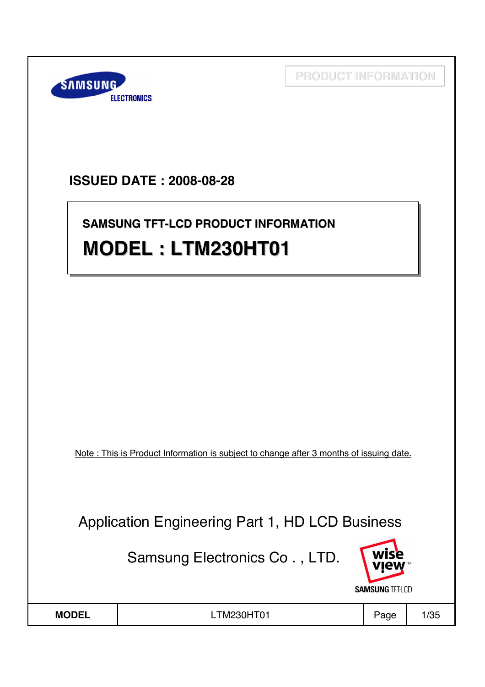

# **ISSUED DATE : 2008-08-28**

# **SAMSUNG TFT-LCD PRODUCT INFORMATION SAMSUNG TFT-LCD PRODUCT INFORMATION**

# **MODEL : LTM230HT01 MODEL : LTM230HT01 MODEL : LTM230HT01**

Note : This is Product Information is subject to change after 3 months of issuing date.

Application Engineering Part 1, HD LCD Business

Samsung Electronics Co . , LTD.



| <b>MODEI</b> | -IVI.<br>-<br>. | --<br>پ |  |
|--------------|-----------------|---------|--|
|              |                 |         |  |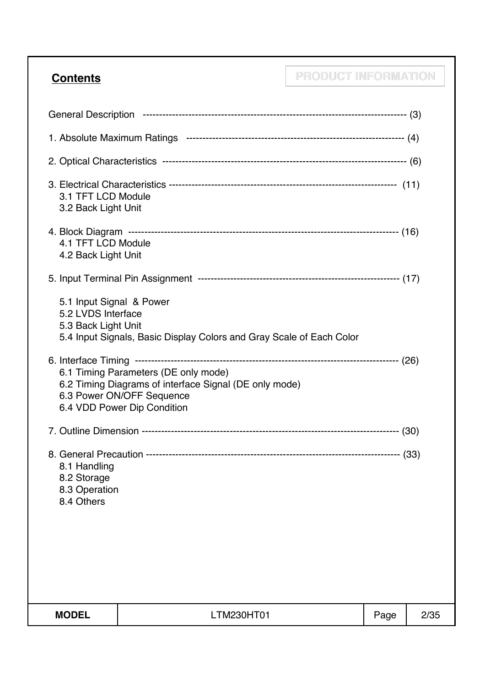# **Contents PRODUCT INFORMATION**

| <b>MODEL</b>                                                          | LTM230HT01                                                                                                                                                 | Page | 2/35 |
|-----------------------------------------------------------------------|------------------------------------------------------------------------------------------------------------------------------------------------------------|------|------|
| 8.3 Operation<br>8.4 Others                                           |                                                                                                                                                            |      |      |
| 8.1 Handling<br>8.2 Storage                                           |                                                                                                                                                            |      |      |
|                                                                       |                                                                                                                                                            |      |      |
|                                                                       | 6.1 Timing Parameters (DE only mode)<br>6.2 Timing Diagrams of interface Signal (DE only mode)<br>6.3 Power ON/OFF Sequence<br>6.4 VDD Power Dip Condition |      |      |
| 5.1 Input Signal & Power<br>5.2 LVDS Interface<br>5.3 Back Light Unit | 5.4 Input Signals, Basic Display Colors and Gray Scale of Each Color                                                                                       |      |      |
|                                                                       |                                                                                                                                                            |      |      |
| 4.1 TFT LCD Module<br>4.2 Back Light Unit                             |                                                                                                                                                            |      |      |
| 3.1 TFT LCD Module<br>3.2 Back Light Unit                             |                                                                                                                                                            |      |      |
|                                                                       |                                                                                                                                                            |      |      |
|                                                                       |                                                                                                                                                            |      |      |
|                                                                       |                                                                                                                                                            |      |      |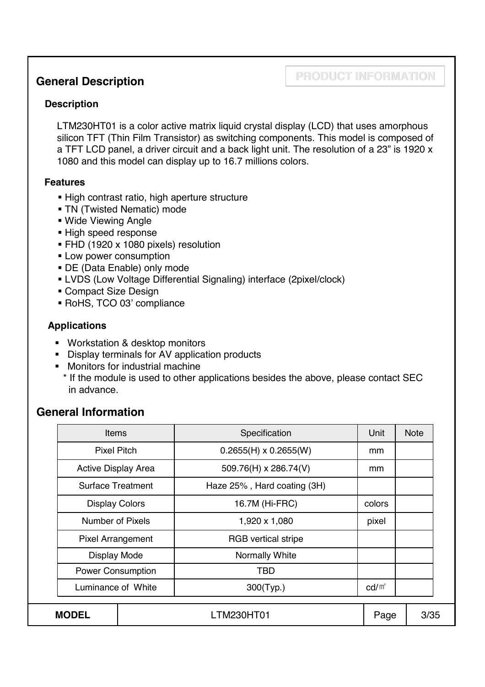## **General Description**

## **PRODUCT INFORMATION**

## **Description**

LTM230HT01 is a color active matrix liquid crystal display (LCD) that uses amorphous silicon TFT (Thin Film Transistor) as switching components. This model is composed of a TFT LCD panel, a driver circuit and a back light unit. The resolution of a 23" is 1920 x 1080 and this model can display up to 16.7 millions colors.

## **Features**

- ! High contrast ratio, high aperture structure
- **TN (Twisted Nematic) mode**
- **. Wide Viewing Angle**
- ! High speed response
- **FHD (1920 x 1080 pixels) resolution**
- **ELOW power consumption**
- ! DE (Data Enable) only mode
- ! LVDS (Low Voltage Differential Signaling) interface (2pixel/clock)
- **Compact Size Design**
- ! RoHS, TCO 03' compliance

## **Applications**

- ! Workstation & desktop monitors
- ! Display terminals for AV application products
- ! Monitors for industrial machine
- \* If the module is used to other applications besides the above, please contact SEC in advance.

## **General Information**

|                    | <b>Items</b>               | Specification                | Unit            | <b>Note</b> |
|--------------------|----------------------------|------------------------------|-----------------|-------------|
|                    | <b>Pixel Pitch</b>         | $0.2655(H) \times 0.2655(W)$ | mm              |             |
|                    | <b>Active Display Area</b> | 509.76(H) x 286.74(V)        | mm              |             |
|                    | <b>Surface Treatment</b>   | Haze 25%, Hard coating (3H)  |                 |             |
|                    | <b>Display Colors</b>      | 16.7M (Hi-FRC)               | colors          |             |
|                    | <b>Number of Pixels</b>    | 1,920 x 1,080                | pixel           |             |
|                    | <b>Pixel Arrangement</b>   | <b>RGB</b> vertical stripe   |                 |             |
|                    | Display Mode               | Normally White               |                 |             |
|                    | <b>Power Consumption</b>   | TBD                          |                 |             |
| Luminance of White |                            | 300(Typ.)                    | $\text{cd/m}^2$ |             |
| <b>MODEL</b>       |                            | LTM230HT01                   | Page            | 3/35        |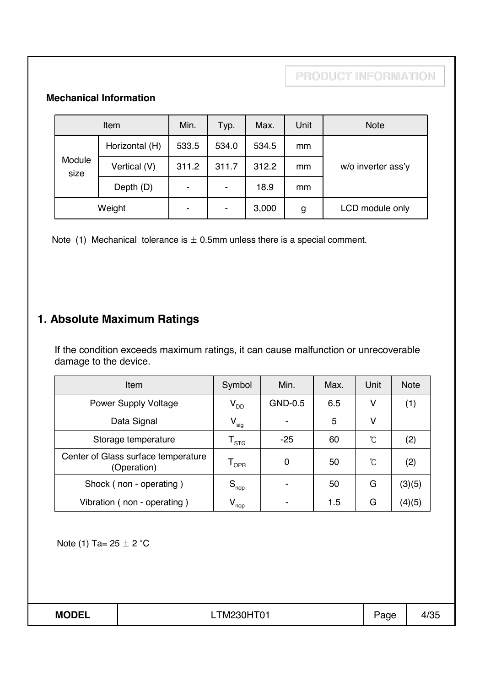## **Mechanical Information**

| Item           |                | Min.  | Typ.                     | Max.  | Unit | <b>Note</b>        |
|----------------|----------------|-------|--------------------------|-------|------|--------------------|
|                | Horizontal (H) | 533.5 | 534.0                    | 534.5 | mm   |                    |
| Module<br>size | Vertical (V)   | 311.2 | 311.7                    | 312.2 | mm   | w/o inverter ass'y |
|                | Depth (D)      | ۰     | $\overline{\phantom{a}}$ | 18.9  | mm   |                    |
| Weight         |                | ۰     | $\blacksquare$           | 3,000 | g    | LCD module only    |

Note (1) Mechanical tolerance is  $\pm$  0.5mm unless there is a special comment.

# **1. Absolute Maximum Ratings**

If the condition exceeds maximum ratings, it can cause malfunction or unrecoverable damage to the device.

| Item                                               | Symbol                      | Min.           | Max. | Unit | <b>Note</b> |
|----------------------------------------------------|-----------------------------|----------------|------|------|-------------|
| <b>Power Supply Voltage</b>                        | $V_{DD}$                    | GND-0.5        | 6.5  | v    | (1)         |
| Data Signal                                        | $V_{sig}$                   | $\blacksquare$ | 5    | ۷    |             |
| Storage temperature                                | $\mathsf{T}_{\textsf{STG}}$ | $-25$          | 60   | °C   | (2)         |
| Center of Glass surface temperature<br>(Operation) | $\mathsf{T}_{\mathsf{OPR}}$ | 0              | 50   | °C   | (2)         |
| Shock (non - operating)                            | $S_{\text{nop}}$            |                | 50   | G    | (3)(5)      |
| Vibration (non - operating)                        | $V_{\text{nop}}$            |                | 1.5  | G    | (4)(5)      |

Note (1) Ta=  $25 \pm 2$  °C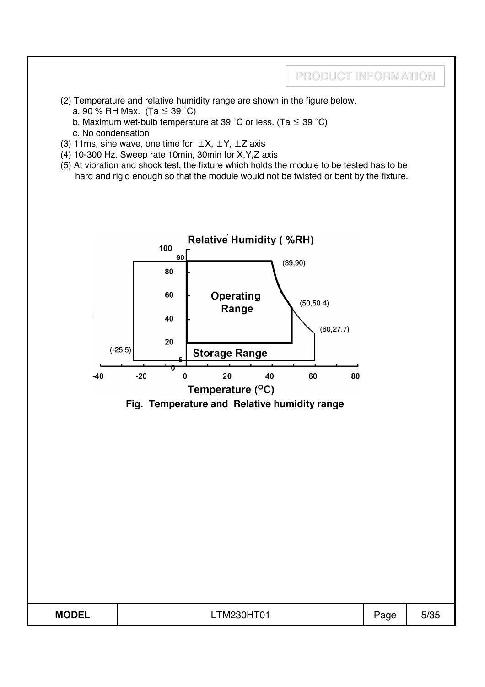

- a. 90 % RH Max. (Ta  $\leq$  39 °C)
- b. Maximum wet-bulb temperature at 39 °C or less. (Ta  $\leq$  39 °C) c. No condensation
- (3) 11ms, sine wave, one time for  $\pm X$ ,  $\pm Y$ ,  $\pm Z$  axis
- (4) 10-300 Hz, Sweep rate 10min, 30min for X,Y,Z axis
- (5) At vibration and shock test, the fixture which holds the module to be tested has to be hard and rigid enough so that the module would not be twisted or bent by the fixture.

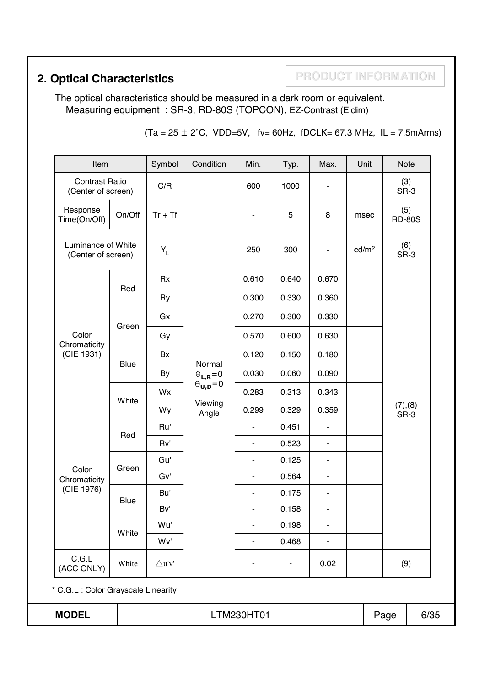# **2. Optical Characteristics**

## **PRODUCT INFORMATION**

The optical characteristics should be measured in a dark room or equivalent. Measuring equipment : SR-3, RD-80S (TOPCON), EZ-Contrast (Eldim)

| Item                                        |             | Symbol                             | Condition                          | Min.                         | Typ.  | Max.                     | Unit              |      | Note                 |
|---------------------------------------------|-------------|------------------------------------|------------------------------------|------------------------------|-------|--------------------------|-------------------|------|----------------------|
| <b>Contrast Ratio</b><br>(Center of screen) |             | C/R                                |                                    | 600                          | 1000  |                          |                   |      | (3)<br>SR-3          |
| Response<br>Time(On/Off)                    | On/Off      | $Tr + Tf$                          |                                    |                              | 5     | 8                        | msec              |      | (5)<br><b>RD-80S</b> |
| Luminance of White<br>(Center of screen)    |             | $Y_L$                              |                                    | 250                          | 300   |                          | cd/m <sup>2</sup> |      | (6)<br>SR-3          |
|                                             |             | Rx                                 |                                    | 0.610                        | 0.640 | 0.670                    |                   |      |                      |
|                                             | Red         | Ry                                 |                                    | 0.300                        | 0.330 | 0.360                    |                   |      |                      |
|                                             |             | Gx                                 |                                    | 0.270                        | 0.300 | 0.330                    |                   |      |                      |
| Color                                       | Green       | Gy                                 |                                    | 0.570                        | 0.600 | 0.630                    |                   |      |                      |
| Chromaticity<br>(CIE 1931)                  |             | Bx                                 |                                    | 0.120                        | 0.150 | 0.180                    |                   |      |                      |
|                                             | <b>Blue</b> | By                                 | Normal<br>$\Theta_{L,R} = 0$       | 0.030                        | 0.060 | 0.090                    |                   |      |                      |
|                                             |             | Wx                                 | $\Theta_{\mathsf{U},\mathsf{D}}=0$ | 0.283                        | 0.313 | 0.343                    |                   |      |                      |
|                                             | White       | Wy                                 | Viewing<br>Angle                   | 0.299                        | 0.329 | 0.359                    |                   |      | (7), (8)<br>SR-3     |
|                                             |             | Ru'                                |                                    | ä,                           | 0.451 | $\blacksquare$           |                   |      |                      |
|                                             | Red         | Rv'                                |                                    | $\qquad \qquad \blacksquare$ | 0.523 | $\blacksquare$           |                   |      |                      |
|                                             | Green       | Gu'                                |                                    | $\overline{\phantom{a}}$     | 0.125 | $\blacksquare$           |                   |      |                      |
| Color<br>Chromaticity                       |             | Gv'                                |                                    | $\blacksquare$               | 0.564 | $\blacksquare$           |                   |      |                      |
| (CIE 1976)                                  | <b>Blue</b> | Bu'                                |                                    | $\qquad \qquad \blacksquare$ | 0.175 | $\overline{\phantom{a}}$ |                   |      |                      |
|                                             |             | Bv'                                |                                    | ۰                            | 0.158 | $\blacksquare$           |                   |      |                      |
|                                             | White       | Wu'                                |                                    | ۰                            | 0.198 | $\overline{\phantom{a}}$ |                   |      |                      |
|                                             |             | Wv'                                |                                    | $\qquad \qquad \blacksquare$ | 0.468 | $\blacksquare$           |                   |      |                      |
| C.G.L<br>(ACC ONLY)                         | White       | $\bigtriangleup {\bf u}' {\bf v}'$ |                                    | ۰                            | ۰     | 0.02                     |                   |      | (9)                  |
| * C.G.L : Color Grayscale Linearity         |             |                                    |                                    |                              |       |                          |                   |      |                      |
| <b>MODEL</b>                                |             |                                    |                                    | LTM230HT01                   |       |                          |                   | Page | 6/35                 |

 $(Ta = 25 \pm 2^{\circ}C, VDD=5V,$  fv= 60Hz, fDCLK= 67.3 MHz, IL = 7.5mArms)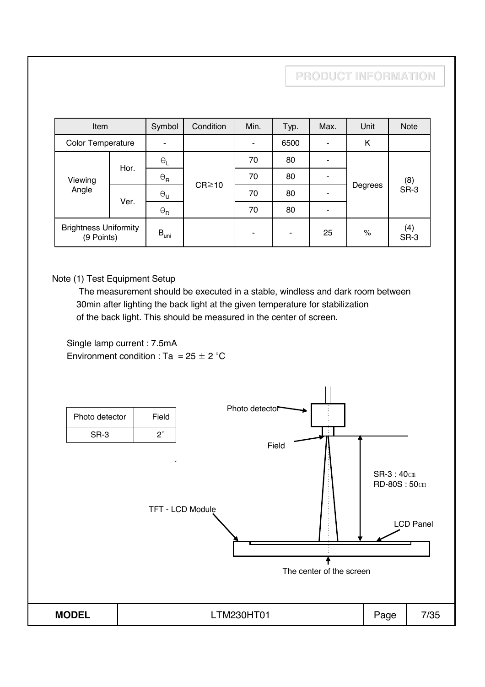| Item                                       |      | Symbol                | Condition   | Min. | Typ. | Max.           | Unit    | Note        |
|--------------------------------------------|------|-----------------------|-------------|------|------|----------------|---------|-------------|
| <b>Color Temperature</b>                   |      |                       |             |      | 6500 | ۰              | K       |             |
| Viewing                                    | Hor. | $\Theta_{\sf L}$      |             | 70   | 80   | $\blacksquare$ |         |             |
|                                            |      | $\Theta_{\mathsf{R}}$ | $CR \ge 10$ | 70   | 80   | $\blacksquare$ | Degrees | (8)<br>SR-3 |
| Angle                                      |      | $\Theta_{\sf U}$      |             | 70   | 80   |                |         |             |
|                                            | Ver. | $\Theta_{\mathsf{D}}$ |             | 70   | 80   | $\blacksquare$ |         |             |
| <b>Brightness Uniformity</b><br>(9 Points) |      | $B_{\text{uni}}$      |             |      |      | 25             | %       | (4)<br>SR-3 |

## Note (1) Test Equipment Setup

The measurement should be executed in a stable, windless and dark room between 30min after lighting the back light at the given temperature for stabilization of the back light. This should be measured in the center of screen.

Single lamp current : 7.5mA Environment condition : Ta =  $25 \pm 2$  °C

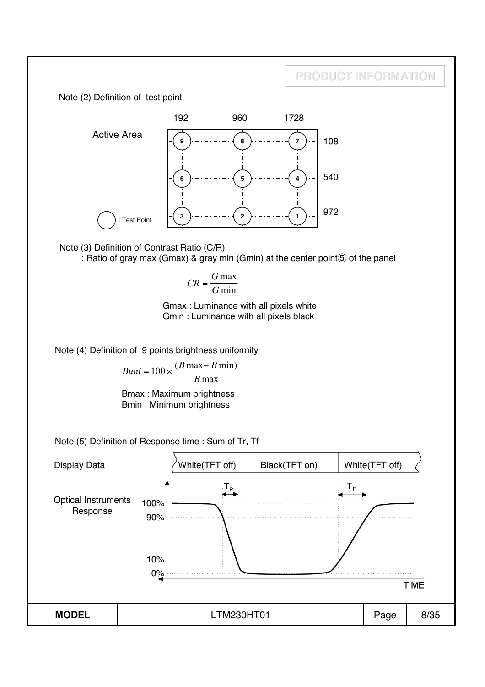Note (2) Definition of test point





$$
CR = \frac{G \max}{G \min}
$$

Gmax : Luminance with all pixels white Gmin : Luminance with all pixels black

Note (4) Definition of 9 points brightness uniformity

$$
Buni = 100 \times \frac{(B \max - B \min)}{B \max}
$$

Bmax : Maximum brightness Bmin : Minimum brightness

Note (5) Definition of Response time : Sum of Tr, Tf

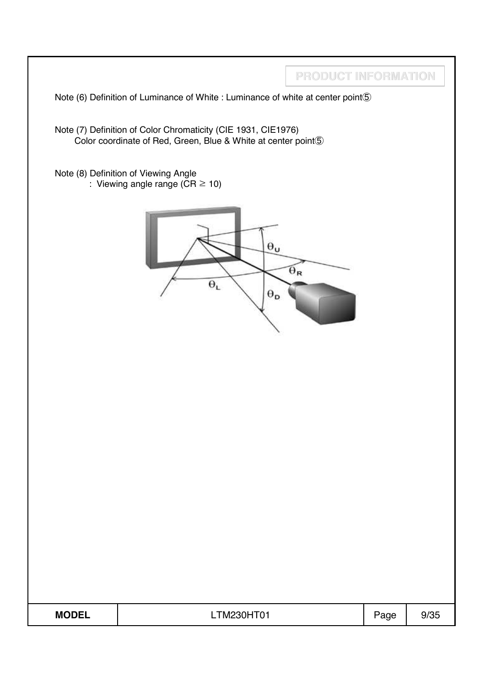|              |                                                                                                                                 | PRODUCT INFORMATION                        |      |      |
|--------------|---------------------------------------------------------------------------------------------------------------------------------|--------------------------------------------|------|------|
|              |                                                                                                                                 |                                            |      |      |
|              | Note (6) Definition of Luminance of White : Luminance of white at center point 5                                                |                                            |      |      |
|              | Note (7) Definition of Color Chromaticity (CIE 1931, CIE1976)<br>Color coordinate of Red, Green, Blue & White at center point 5 |                                            |      |      |
|              | Note (8) Definition of Viewing Angle<br>: Viewing angle range ( $CR \ge 10$ )                                                   |                                            |      |      |
|              | $\Theta_{\mathsf{U}}$<br>$\theta_L$<br>$\theta_{\mathsf{D}}$                                                                    | $\widehat{\boldsymbol{\theta}}_{\text{R}}$ |      |      |
|              |                                                                                                                                 |                                            |      |      |
|              |                                                                                                                                 |                                            |      |      |
|              |                                                                                                                                 |                                            |      |      |
| <b>MODEL</b> | LTM230HT01                                                                                                                      |                                            | Page | 9/35 |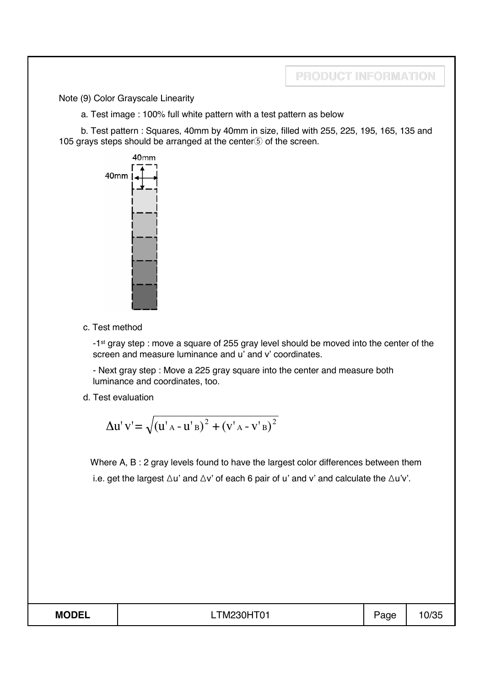Note (9) Color Grayscale Linearity

a. Test image : 100% full white pattern with a test pattern as below

b. Test pattern : Squares, 40mm by 40mm in size, filled with 255, 225, 195, 165, 135 and 105 grays steps should be arranged at the center<sup>®</sup> of the screen.



c. Test method

-1st gray step : move a square of 255 gray level should be moved into the center of the screen and measure luminance and u' and v' coordinates.

- Next gray step : Move a 225 gray square into the center and measure both luminance and coordinates, too.

d. Test evaluation

$$
\Delta u' v' = \sqrt{(u'_{A} - u'_{B})^{2} + (v'_{A} - v'_{B})^{2}}
$$

Where A, B : 2 gray levels found to have the largest color differences between them i.e. get the largest  $\Delta u$ ' and  $\Delta v$ ' of each 6 pair of u' and v' and calculate the  $\Delta u'v'$ .

| <b>MODEL</b><br>エMク<br>. н<br>1 V I<br>טשבויו<br>- 1 | aue<br>ີ |
|------------------------------------------------------|----------|
|------------------------------------------------------|----------|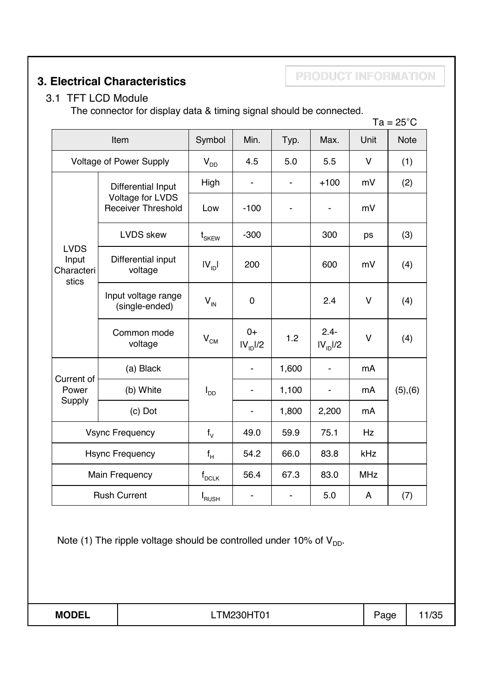# **3. Electrical Characteristics**

**PRODUCT INFORMATION**

## 3.1 TFT LCD Module

The connector for display data & timing signal should be connected.

|                                             |                                               |                              |                              |       |                                 |            | $Ta = 25^{\circ}C$ |
|---------------------------------------------|-----------------------------------------------|------------------------------|------------------------------|-------|---------------------------------|------------|--------------------|
|                                             | Item                                          | Symbol                       | Min.                         | Typ.  | Max.                            | Unit       | <b>Note</b>        |
|                                             | <b>Voltage of Power Supply</b>                | $V_{DD}$                     | 4.5                          | 5.0   | 5.5                             | V          | (1)                |
|                                             | Differential Input                            | High                         | $\qquad \qquad \blacksquare$ | ÷.    | $+100$                          | mV         | (2)                |
|                                             | Voltage for LVDS<br><b>Receiver Threshold</b> | Low                          | $-100$                       |       |                                 | mV         |                    |
|                                             | <b>LVDS</b> skew                              | $\mathfrak{t}_{\text{SKEW}}$ | $-300$                       |       | 300                             | ps         | (3)                |
| <b>LVDS</b><br>Input<br>Characteri<br>stics | Differential input<br>voltage                 | IV <sub>ID</sub> I           | 200                          |       | 600                             | mV         | (4)                |
|                                             | Input voltage range<br>(single-ended)         | $V_{\text{IN}}$              | $\mathbf 0$                  |       | 2.4                             | V          | (4)                |
|                                             | Common mode<br>voltage                        | $V_{CM}$                     | $0+$<br>IV <sub>1D</sub> 1/2 | 1.2   | $2.4 -$<br>IV <sub>1D</sub> 1/2 | V          | (4)                |
| Current of                                  | (a) Black                                     |                              |                              | 1,600 | $\overline{\phantom{a}}$        | mA         |                    |
| Power                                       | (b) White                                     | $I_{DD}$                     |                              | 1,100 |                                 | mA         | (5), (6)           |
| Supply                                      | (c) Dot                                       |                              |                              | 1,800 | 2,200                           | mA         |                    |
| <b>Vsync Frequency</b>                      |                                               | $f_v$                        | 49.0                         | 59.9  | 75.1                            | Hz         |                    |
| <b>Hsync Frequency</b>                      |                                               | $f_H$                        | 54.2                         | 66.0  | 83.8                            | kHz        |                    |
|                                             | <b>Main Frequency</b>                         |                              | 56.4                         | 67.3  | 83.0                            | <b>MHz</b> |                    |
|                                             | <b>Rush Current</b>                           |                              |                              |       | 5.0                             | A          | (7)                |

Note (1) The ripple voltage should be controlled under 10% of  $V_{DD}$ .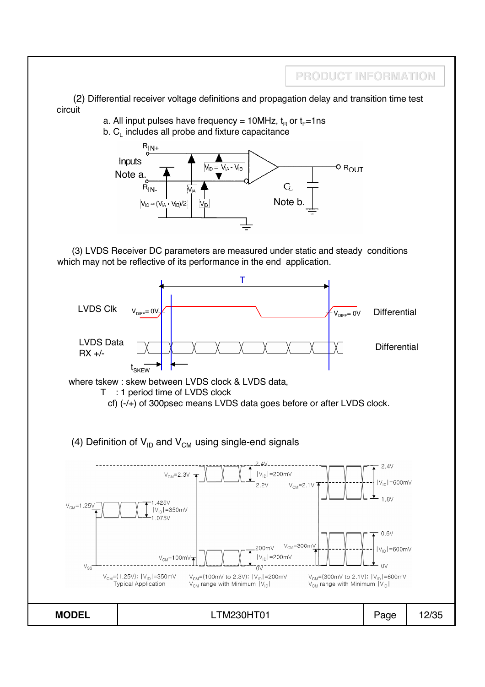(2) Differential receiver voltage definitions and propagation delay and transition time test circuit

**PRODUCT INFORMATION**

- a. All input pulses have frequency = 10MHz,  $t<sub>R</sub>$  or  $t<sub>F</sub>=1$ ns
- $b. C<sub>1</sub>$  includes all probe and fixture capacitance



(3) LVDS Receiver DC parameters are measured under static and steady conditions which may not be reflective of its performance in the end application.

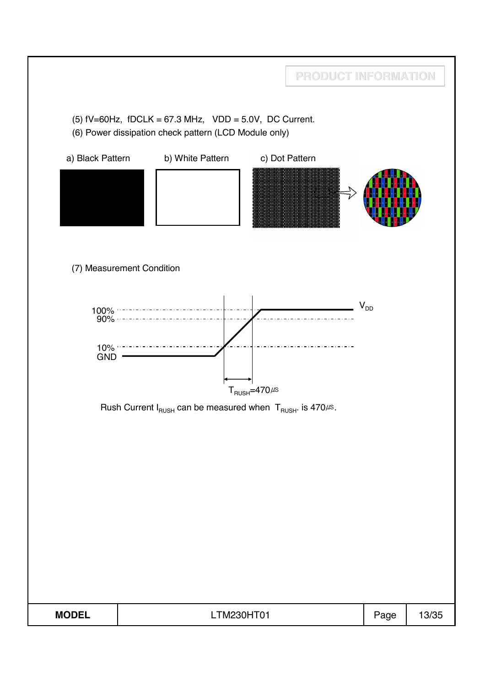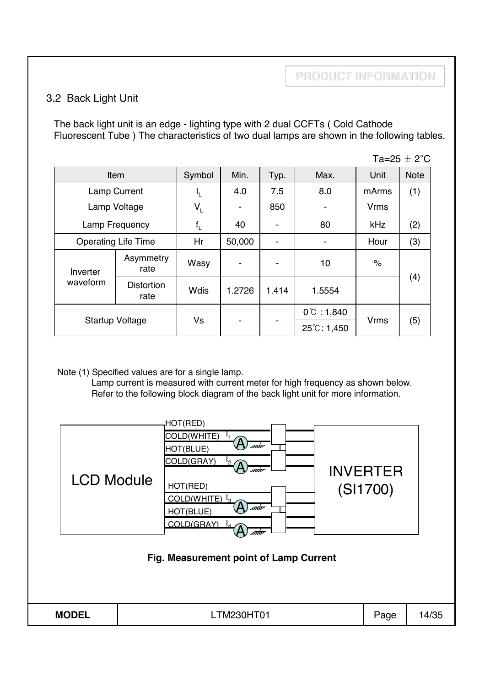## 3.2 Back Light Unit

The back light unit is an edge - lighting type with 2 dual CCFTs ( Cold Cathode Fluorescent Tube ) The characteristics of two dual lamps are shown in the following tables.

|          |                            |             |        |                          |                       |             | Ta=25 $\pm$ 2°C |
|----------|----------------------------|-------------|--------|--------------------------|-----------------------|-------------|-----------------|
|          | Item                       | Symbol      | Min.   | Typ.                     | Max.                  | Unit        | <b>Note</b>     |
|          | <b>Lamp Current</b>        | Ч.          | 4.0    | 7.5                      | 8.0                   | mArms       | (1)             |
|          | Lamp Voltage               | $V_L$       |        | 850                      |                       | <b>Vrms</b> |                 |
|          | Lamp Frequency             |             | 40     | $\overline{\phantom{a}}$ | 80                    | kHz         | (2)             |
|          | <b>Operating Life Time</b> |             | 50,000 | ۰                        |                       | Hour        | (3)             |
| Inverter | Asymmetry<br>rate          | Wasy        |        |                          | 10                    | $\%$        |                 |
| waveform | <b>Distortion</b><br>rate  | <b>Wdis</b> | 1.2726 | 1.414                    | 1.5554                |             | (4)             |
|          |                            |             |        |                          | $0^{\circ}$ : 1,840   |             |                 |
|          | <b>Startup Voltage</b>     | Vs          |        |                          | $25^{\circ}$ C: 1,450 | <b>Vrms</b> | (5)             |

Note (1) Specified values are for a single lamp.

Lamp current is measured with current meter for high frequency as shown below. Refer to the following block diagram of the back light unit for more information.

| <b>LCD Module</b> | HOT(RED)<br>COLD(WHITE)<br>HOT(BLUE)<br>COLD(GRAY)<br>'2.<br>HOT(RED)<br>COLD(WHITE) $I_3$<br>HOT(BLUE)<br>COLD(GRAY)<br>Fig. Measurement point of Lamp Current | <b>INVERTER</b><br>(SI1700) |       |
|-------------------|-----------------------------------------------------------------------------------------------------------------------------------------------------------------|-----------------------------|-------|
| <b>MODEL</b>      | LTM230HT01                                                                                                                                                      | Page                        | 14/35 |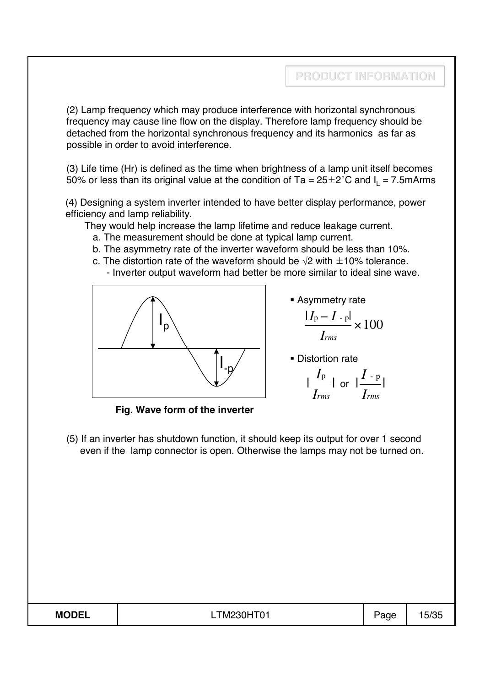(2) Lamp frequency which may produce interference with horizontal synchronous frequency may cause line flow on the display. Therefore lamp frequency should be detached from the horizontal synchronous frequency and its harmonics as far as possible in order to avoid interference.

(3) Life time (Hr) is defined as the time when brightness of a lamp unit itself becomes 50% or less than its original value at the condition of Ta =  $25\pm2^{\circ}$ C and  $I_1 = 7.5$ mArms

(4) Designing a system inverter intended to have better display performance, power efficiency and lamp reliability.

They would help increase the lamp lifetime and reduce leakage current.

- a. The measurement should be done at typical lamp current.
- b. The asymmetry rate of the inverter waveform should be less than 10%.
- c. The distortion rate of the waveform should be  $\sqrt{2}$  with  $\pm 10\%$  tolerance. - Inverter output waveform had better be more similar to ideal sine wave.



**E** Asymmetry rate

$$
\frac{|I_{\rm p}-I_{\rm -p}|}{I_{\rm rms}}\times 100
$$

**• Distortion rate** 

$$
\frac{|I_{\rm p}|}{I_{\rm rms}} |\text{ or } |\frac{I_{\rm -p}}{I_{\rm rms}}|
$$

**Fig. Wave form of the inverter**

(5) If an inverter has shutdown function, it should keep its output for over 1 second even if the lamp connector is open. Otherwise the lamps may not be turned on.

| <b>MODEL</b> | $-$<br>M231<br>.<br>_<br>- | -<br>age | $\sqrt{2}$<br>. 5/35 |
|--------------|----------------------------|----------|----------------------|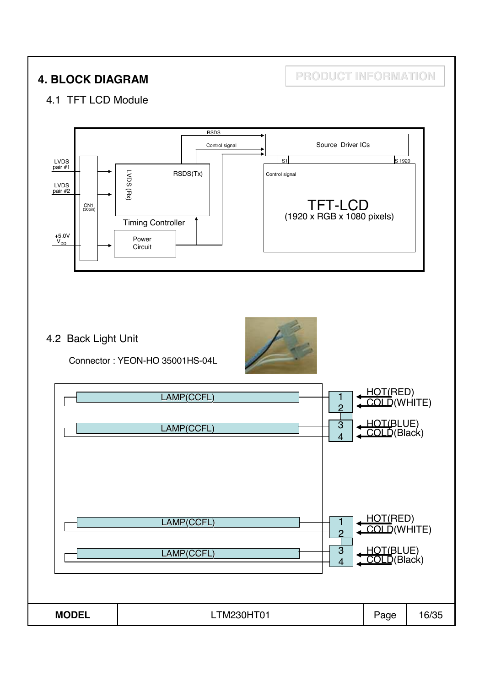**4. BLOCK DIAGRAM PRODUCT INFORMATION**

## 4.1 TFT LCD Module

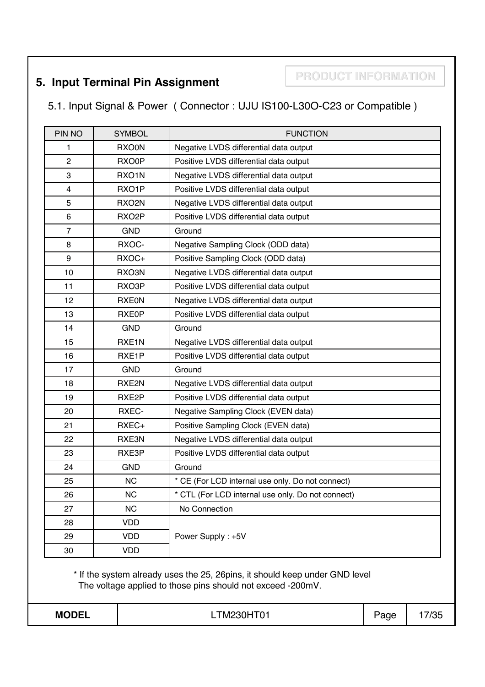# **5. Input Terminal Pin Assignment**

**PRODUCT INFORMATION**

5.1. Input Signal & Power ( Connector : UJU IS100-L30O-C23 or Compatible )

| PIN NO                  | <b>SYMBOL</b>      | <b>FUNCTION</b>                                                                                                                            |
|-------------------------|--------------------|--------------------------------------------------------------------------------------------------------------------------------------------|
| 1                       | <b>RXO0N</b>       | Negative LVDS differential data output                                                                                                     |
| $\overline{c}$          | RXO0P              | Positive LVDS differential data output                                                                                                     |
| 3                       | RXO1N              | Negative LVDS differential data output                                                                                                     |
| $\overline{\mathbf{4}}$ | RXO1P              | Positive LVDS differential data output                                                                                                     |
| 5                       | RXO <sub>2N</sub>  | Negative LVDS differential data output                                                                                                     |
| 6                       | RXO <sub>2</sub> P | Positive LVDS differential data output                                                                                                     |
| $\overline{7}$          | <b>GND</b>         | Ground                                                                                                                                     |
| 8                       | RXOC-              | Negative Sampling Clock (ODD data)                                                                                                         |
| 9                       | RXOC+              | Positive Sampling Clock (ODD data)                                                                                                         |
| 10                      | RXO3N              | Negative LVDS differential data output                                                                                                     |
| 11                      | RXO3P              | Positive LVDS differential data output                                                                                                     |
| 12                      | <b>RXE0N</b>       | Negative LVDS differential data output                                                                                                     |
| 13                      | <b>RXE0P</b>       | Positive LVDS differential data output                                                                                                     |
| 14                      | <b>GND</b>         | Ground                                                                                                                                     |
| 15                      | RXE1N              | Negative LVDS differential data output                                                                                                     |
| 16                      | RXE1P              | Positive LVDS differential data output                                                                                                     |
| 17                      | <b>GND</b>         | Ground                                                                                                                                     |
| 18                      | RXE2N              | Negative LVDS differential data output                                                                                                     |
| 19                      | RXE2P              | Positive LVDS differential data output                                                                                                     |
| 20                      | RXEC-              | Negative Sampling Clock (EVEN data)                                                                                                        |
| 21                      | RXEC+              | Positive Sampling Clock (EVEN data)                                                                                                        |
| 22                      | RXE3N              | Negative LVDS differential data output                                                                                                     |
| 23                      | RXE3P              | Positive LVDS differential data output                                                                                                     |
| 24                      | <b>GND</b>         | Ground                                                                                                                                     |
| 25                      | <b>NC</b>          | * CE (For LCD internal use only. Do not connect)                                                                                           |
| 26                      | <b>NC</b>          | * CTL (For LCD internal use only. Do not connect)                                                                                          |
| 27                      | <b>NC</b>          | No Connection                                                                                                                              |
| 28                      | <b>VDD</b>         |                                                                                                                                            |
| 29                      | <b>VDD</b>         | Power Supply: +5V                                                                                                                          |
| 30                      | <b>VDD</b>         |                                                                                                                                            |
|                         |                    | * If the system already uses the 25, 26pins, it should keep under GND level<br>The voltage applied to those pins should not exceed -200mV. |

| <b>MODEL</b> | י J <u>T</u> Wטאטען ו<br>. | aqe<br>. — | ےں ہ |
|--------------|----------------------------|------------|------|
|              |                            |            |      |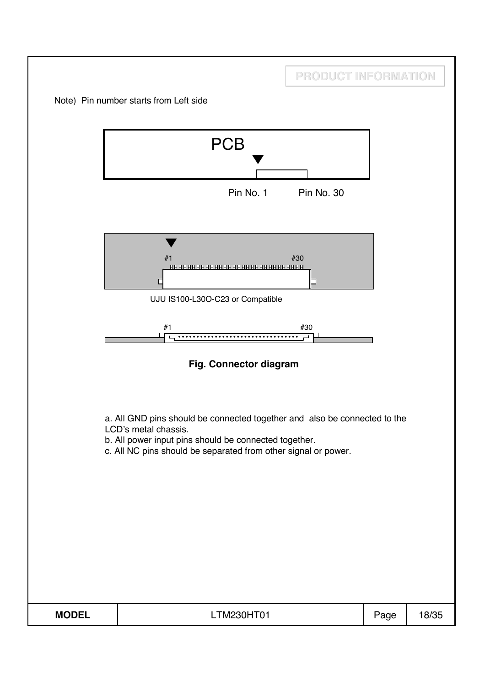|                                                                                                                                                                                                                              |                                              | PRODUCT INFORMATION |      |       |  |  |
|------------------------------------------------------------------------------------------------------------------------------------------------------------------------------------------------------------------------------|----------------------------------------------|---------------------|------|-------|--|--|
|                                                                                                                                                                                                                              | Note) Pin number starts from Left side       |                     |      |       |  |  |
|                                                                                                                                                                                                                              | <b>PCB</b>                                   |                     |      |       |  |  |
|                                                                                                                                                                                                                              |                                              |                     |      |       |  |  |
|                                                                                                                                                                                                                              | Pin No. 1                                    | <b>Pin No. 30</b>   |      |       |  |  |
|                                                                                                                                                                                                                              |                                              |                     |      |       |  |  |
|                                                                                                                                                                                                                              | #1<br><u> 888888888888888888888888888888</u> | #30<br>П            |      |       |  |  |
|                                                                                                                                                                                                                              | UJU IS100-L30O-C23 or Compatible             |                     |      |       |  |  |
|                                                                                                                                                                                                                              | $\#1$<br>Е                                   | #30                 |      |       |  |  |
|                                                                                                                                                                                                                              | Fig. Connector diagram                       |                     |      |       |  |  |
|                                                                                                                                                                                                                              |                                              |                     |      |       |  |  |
| a. All GND pins should be connected together and also be connected to the<br>LCD's metal chassis.<br>b. All power input pins should be connected together.<br>c. All NC pins should be separated from other signal or power. |                                              |                     |      |       |  |  |
|                                                                                                                                                                                                                              |                                              |                     |      |       |  |  |
|                                                                                                                                                                                                                              |                                              |                     |      |       |  |  |
|                                                                                                                                                                                                                              |                                              |                     |      |       |  |  |
| <b>MODEL</b>                                                                                                                                                                                                                 | LTM230HT01                                   |                     | Page | 18/35 |  |  |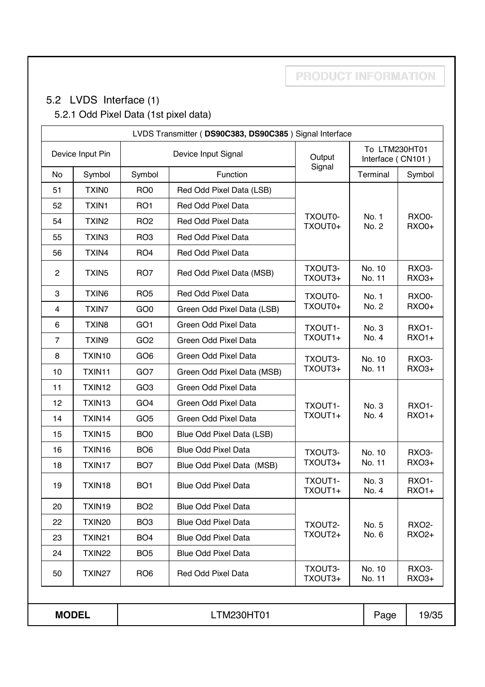

# 5.2 LVDS Interface (1)

5.2.1 Odd Pixel Data (1st pixel data)

| LVDS Transmitter (DS90C383, DS90C385) Signal Interface |                    |                 |                            |                    |                                    |                                    |
|--------------------------------------------------------|--------------------|-----------------|----------------------------|--------------------|------------------------------------|------------------------------------|
|                                                        | Device Input Pin   |                 | Device Input Signal        | Output<br>Signal   | To LTM230HT01<br>Interface (CN101) |                                    |
| <b>No</b>                                              | Symbol             | Symbol          | Function                   |                    | Terminal                           | Symbol                             |
| 51                                                     | <b>TXINO</b>       | RO <sub>0</sub> | Red Odd Pixel Data (LSB)   |                    |                                    |                                    |
| 52                                                     | <b>TXIN1</b>       | RO <sub>1</sub> | Red Odd Pixel Data         |                    |                                    |                                    |
| 54                                                     | TXIN <sub>2</sub>  | RO <sub>2</sub> | Red Odd Pixel Data         | TXOUT0-<br>TXOUT0+ | No. 1<br>No. 2                     | <b>RXO0-</b><br><b>RXO0+</b>       |
| 55                                                     | TXIN3              | RO <sub>3</sub> | Red Odd Pixel Data         |                    |                                    |                                    |
| 56                                                     | TXIN4              | RO <sub>4</sub> | Red Odd Pixel Data         |                    |                                    |                                    |
| $\mathbf{2}$                                           | TXIN <sub>5</sub>  | RO <sub>7</sub> | Red Odd Pixel Data (MSB)   | TXOUT3-<br>TXOUT3+ | No. 10<br>No. 11                   | RXO <sub>3</sub> -<br><b>RXO3+</b> |
| 3                                                      | TXIN6              | RO <sub>5</sub> | Red Odd Pixel Data         | TXOUT0-            | No. 1                              | RXO0-                              |
| 4                                                      | TXIN7              | GO <sub>0</sub> | Green Odd Pixel Data (LSB) | TXOUT0+            | No. 2                              | <b>RXO0+</b>                       |
| 6                                                      | TXIN <sub>8</sub>  | GO <sub>1</sub> | Green Odd Pixel Data       | TXOUT1-            | No. 3<br>No. 4                     | RXO1-                              |
| $\overline{7}$                                         | TXIN9              | GO <sub>2</sub> | Green Odd Pixel Data       | TXOUT1+            |                                    | <b>RXO1+</b>                       |
| 8                                                      | TXIN10             | GO <sub>6</sub> | Green Odd Pixel Data       | TXOUT3-            | No. 10<br>No. 11                   | <b>RXO3-</b>                       |
| 10                                                     | TXIN11             | GO7             | Green Odd Pixel Data (MSB) | TXOUT3+            |                                    | <b>RXO3+</b>                       |
| 11                                                     | TXIN12             | GO <sub>3</sub> | Green Odd Pixel Data       |                    | No. 3<br>No. 4                     |                                    |
| 12                                                     | TXIN <sub>13</sub> | GO <sub>4</sub> | Green Odd Pixel Data       | TXOUT1-            |                                    | <b>RXO1-</b>                       |
| 14                                                     | TXIN14             | GO <sub>5</sub> | Green Odd Pixel Data       | TXOUT1+            |                                    | <b>RXO1+</b>                       |
| 15                                                     | TXIN15             | BO <sub>0</sub> | Blue Odd Pixel Data (LSB)  |                    |                                    |                                    |
| 16                                                     | TXIN16             | BO <sub>6</sub> | <b>Blue Odd Pixel Data</b> | TXOUT3-            | No. 10                             | RXO <sub>3</sub> -                 |
| 18                                                     | TXIN17             | BO <sub>7</sub> | Blue Odd Pixel Data (MSB)  | TXOUT3+            | No. 11                             | <b>RXO3+</b>                       |
| 19                                                     | TXIN18             | BO <sub>1</sub> | <b>Blue Odd Pixel Data</b> | TXOUT1-<br>TXOUT1+ | No. 3<br>No. 4                     | <b>RXO1-</b><br><b>RXO1+</b>       |
| 20                                                     | TXIN19             | BO <sub>2</sub> | <b>Blue Odd Pixel Data</b> |                    |                                    |                                    |
| 22                                                     | <b>TXIN20</b>      | BO <sub>3</sub> | <b>Blue Odd Pixel Data</b> | TXOUT2-            | No. 5                              | <b>RXO2-</b>                       |
| 23                                                     | TXIN21             | BO <sub>4</sub> | <b>Blue Odd Pixel Data</b> | TXOUT2+            | No. 6                              | <b>RXO2+</b>                       |
| 24                                                     | TXIN22             | BO <sub>5</sub> | <b>Blue Odd Pixel Data</b> |                    |                                    |                                    |
| 50                                                     | TXIN27             | RO <sub>6</sub> | Red Odd Pixel Data         | TXOUT3-<br>TXOUT3+ | No. 10<br>No. 11                   | RXO <sub>3</sub> -<br><b>RXO3+</b> |
|                                                        |                    |                 |                            |                    |                                    |                                    |
| <b>MODEL</b><br>LTM230HT01<br>Page                     |                    |                 |                            | 19/35              |                                    |                                    |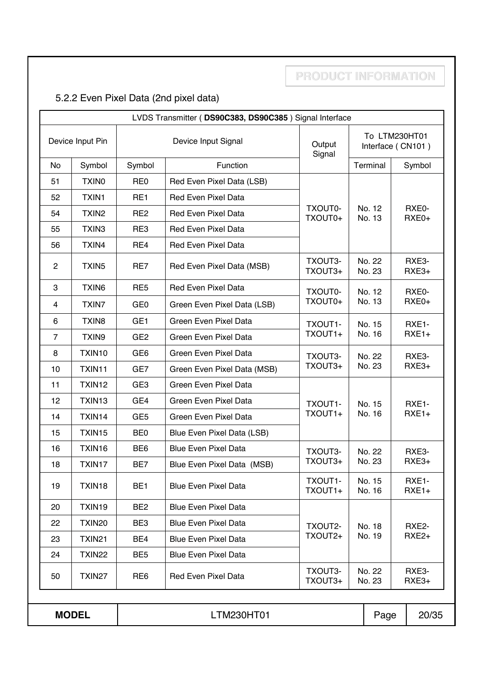## 5.2.2 Even Pixel Data (2nd pixel data)

| LVDS Transmitter (DS90C383, DS90C385) Signal Interface |                    |                 |                             |                                        |                                    |  |                    |
|--------------------------------------------------------|--------------------|-----------------|-----------------------------|----------------------------------------|------------------------------------|--|--------------------|
|                                                        | Device Input Pin   |                 | Device Input Signal         | Output<br>Signal                       | To LTM230HT01<br>Interface (CN101) |  |                    |
| No                                                     | Symbol             | Symbol          | Function                    |                                        | Terminal                           |  | Symbol             |
| 51                                                     | <b>TXINO</b>       | RE <sub>0</sub> | Red Even Pixel Data (LSB)   |                                        |                                    |  |                    |
| 52                                                     | <b>TXIN1</b>       | RE <sub>1</sub> | <b>Red Even Pixel Data</b>  |                                        |                                    |  |                    |
| 54                                                     | TXIN <sub>2</sub>  | RE <sub>2</sub> | <b>Red Even Pixel Data</b>  | TXOUT0-<br>TXOUT0+                     | No. 12<br>No. 13                   |  | RXE0-<br>$RXE0+$   |
| 55                                                     | TXIN3              | RE3             | <b>Red Even Pixel Data</b>  |                                        |                                    |  |                    |
| 56                                                     | TXIN4              | RE4             | Red Even Pixel Data         |                                        |                                    |  |                    |
| $\overline{c}$                                         | TXIN <sub>5</sub>  | RE7             | Red Even Pixel Data (MSB)   | TXOUT3-<br>TXOUT3+                     | No. 22<br>No. 23                   |  | RXE3-<br>$RXE3+$   |
| 3                                                      | TXIN6              | RE <sub>5</sub> | <b>Red Even Pixel Data</b>  | TXOUT0-                                | No. 12                             |  | RXE0-              |
| $\overline{\mathbf{4}}$                                | <b>TXIN7</b>       | GE <sub>0</sub> | Green Even Pixel Data (LSB) | TXOUT0+                                | No. 13                             |  | RXE0+              |
| 6                                                      | TXIN8              | GE <sub>1</sub> | Green Even Pixel Data       | TXOUT1-                                | No. 15                             |  | RXE1-              |
| $\overline{7}$                                         | TXIN9              | GE <sub>2</sub> | Green Even Pixel Data       | TXOUT1+                                | No. 16                             |  | $RXE1+$            |
| 8                                                      | TXIN10             | GE <sub>6</sub> | Green Even Pixel Data       | TXOUT3-                                | No. 22                             |  | RXE3-              |
| 10                                                     | TXIN11             | GE7             | Green Even Pixel Data (MSB) | TXOUT3+                                | No. 23                             |  | RXE3+              |
| 11                                                     | TXIN12             | GE <sub>3</sub> | Green Even Pixel Data       |                                        | No. 15<br>No. 16                   |  |                    |
| 12                                                     | TXIN <sub>13</sub> | GE4             | Green Even Pixel Data       | TXOUT1-                                |                                    |  | RXE <sub>1</sub> - |
| 14                                                     | TXIN14             | GE <sub>5</sub> | Green Even Pixel Data       | TXOUT1+                                |                                    |  | $RXE1+$            |
| 15                                                     | TXIN15             | BE <sub>0</sub> | Blue Even Pixel Data (LSB)  |                                        |                                    |  |                    |
| 16                                                     | TXIN16             | BE <sub>6</sub> | <b>Blue Even Pixel Data</b> | TXOUT3-                                | No. 22                             |  | RXE3-              |
| 18                                                     | TXIN17             | BE7             | Blue Even Pixel Data (MSB)  | TXOUT3+                                | No. 23                             |  | $RXE3+$            |
| 19                                                     | TXIN18             | BE <sub>1</sub> | <b>Blue Even Pixel Data</b> | TXOUT1-<br>TXOUT1+                     | No. 15<br>No. 16                   |  | RXE1-<br>$RXE1+$   |
| 20                                                     | TXIN19             | BE <sub>2</sub> | <b>Blue Even Pixel Data</b> |                                        |                                    |  |                    |
| 22                                                     | TXIN20             | BE3             | <b>Blue Even Pixel Data</b> | TXOUT2-                                | No. 18                             |  | RXE2-              |
| 23                                                     | TXIN21             | BE4             | <b>Blue Even Pixel Data</b> | TXOUT2+                                | No. 19                             |  | RXE <sub>2+</sub>  |
| 24                                                     | <b>TXIN22</b>      | BE <sub>5</sub> | <b>Blue Even Pixel Data</b> |                                        |                                    |  |                    |
| 50                                                     | TXIN27             | RE <sub>6</sub> | <b>Red Even Pixel Data</b>  | TXOUT3-<br>No. 22<br>TXOUT3+<br>No. 23 |                                    |  | RXE3-<br>RXE3+     |
|                                                        |                    |                 |                             |                                        |                                    |  |                    |
| <b>MODEL</b><br>LTM230HT01<br>Page                     |                    |                 | 20/35                       |                                        |                                    |  |                    |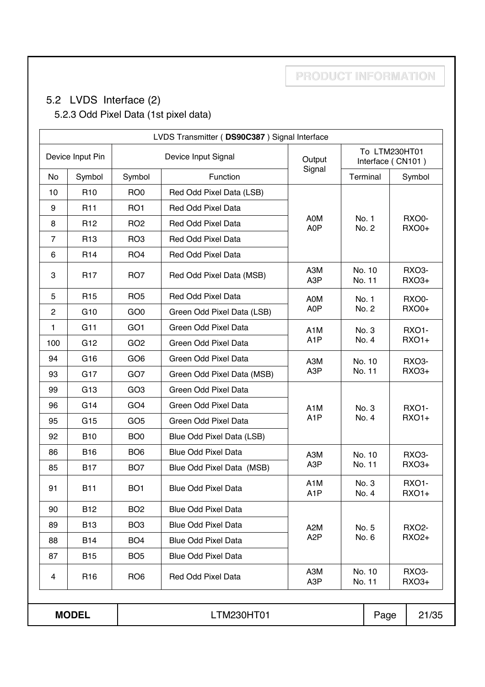# 5.2 LVDS Interface (2)

5.2.3 Odd Pixel Data (1st pixel data)

| Device Input Pin<br>Device Input Signal<br>Output<br>Signal<br>No<br>Symbol<br>Symbol<br>Function<br>RO <sub>0</sub><br>R <sub>10</sub><br>Red Odd Pixel Data (LSB)<br>10<br>RO <sub>1</sub><br>9<br>R <sub>11</sub><br>Red Odd Pixel Data<br>A0M<br>R <sub>12</sub><br>RO <sub>2</sub><br><b>Red Odd Pixel Data</b><br>8<br>A0P<br>$\overline{7}$<br>R <sub>13</sub><br>RO <sub>3</sub><br>Red Odd Pixel Data<br>R <sub>14</sub><br>RO <sub>4</sub><br>Red Odd Pixel Data<br>6<br>A3M<br>RO <sub>7</sub><br>3<br>R <sub>17</sub><br>Red Odd Pixel Data (MSB)<br>A <sub>3</sub> P<br>RO <sub>5</sub><br>5<br>R <sub>15</sub><br>Red Odd Pixel Data<br>A0M<br>A0P<br>G <sub>10</sub><br>GO <sub>0</sub><br>2<br>Green Odd Pixel Data (LSB)<br>1<br>G11<br>GO <sub>1</sub><br>Green Odd Pixel Data<br>A1M<br>A <sub>1</sub> P<br>G <sub>12</sub><br>GO <sub>2</sub><br>Green Odd Pixel Data<br>100<br>G16<br>GO <sub>6</sub><br>Green Odd Pixel Data<br>94<br>A3M<br>A3P<br>GO7<br>93<br>G17<br>Green Odd Pixel Data (MSB) | Terminal         | To LTM230HT01<br>Interface (CN101) |  |
|--------------------------------------------------------------------------------------------------------------------------------------------------------------------------------------------------------------------------------------------------------------------------------------------------------------------------------------------------------------------------------------------------------------------------------------------------------------------------------------------------------------------------------------------------------------------------------------------------------------------------------------------------------------------------------------------------------------------------------------------------------------------------------------------------------------------------------------------------------------------------------------------------------------------------------------------------------------------------------------------------------------------------|------------------|------------------------------------|--|
|                                                                                                                                                                                                                                                                                                                                                                                                                                                                                                                                                                                                                                                                                                                                                                                                                                                                                                                                                                                                                          |                  |                                    |  |
|                                                                                                                                                                                                                                                                                                                                                                                                                                                                                                                                                                                                                                                                                                                                                                                                                                                                                                                                                                                                                          |                  | Symbol                             |  |
|                                                                                                                                                                                                                                                                                                                                                                                                                                                                                                                                                                                                                                                                                                                                                                                                                                                                                                                                                                                                                          |                  |                                    |  |
|                                                                                                                                                                                                                                                                                                                                                                                                                                                                                                                                                                                                                                                                                                                                                                                                                                                                                                                                                                                                                          |                  |                                    |  |
|                                                                                                                                                                                                                                                                                                                                                                                                                                                                                                                                                                                                                                                                                                                                                                                                                                                                                                                                                                                                                          | No. 1<br>No. 2   | RXO0-<br><b>RXO0+</b>              |  |
|                                                                                                                                                                                                                                                                                                                                                                                                                                                                                                                                                                                                                                                                                                                                                                                                                                                                                                                                                                                                                          |                  |                                    |  |
|                                                                                                                                                                                                                                                                                                                                                                                                                                                                                                                                                                                                                                                                                                                                                                                                                                                                                                                                                                                                                          |                  |                                    |  |
|                                                                                                                                                                                                                                                                                                                                                                                                                                                                                                                                                                                                                                                                                                                                                                                                                                                                                                                                                                                                                          | No. 10<br>No. 11 | <b>RXO3-</b><br><b>RXO3+</b>       |  |
|                                                                                                                                                                                                                                                                                                                                                                                                                                                                                                                                                                                                                                                                                                                                                                                                                                                                                                                                                                                                                          | No. 1            | RXO0-                              |  |
|                                                                                                                                                                                                                                                                                                                                                                                                                                                                                                                                                                                                                                                                                                                                                                                                                                                                                                                                                                                                                          | No. 2            | <b>RXO0+</b>                       |  |
|                                                                                                                                                                                                                                                                                                                                                                                                                                                                                                                                                                                                                                                                                                                                                                                                                                                                                                                                                                                                                          | No. 3            | <b>RXO1-</b>                       |  |
|                                                                                                                                                                                                                                                                                                                                                                                                                                                                                                                                                                                                                                                                                                                                                                                                                                                                                                                                                                                                                          | No. 4            | <b>RXO1+</b>                       |  |
|                                                                                                                                                                                                                                                                                                                                                                                                                                                                                                                                                                                                                                                                                                                                                                                                                                                                                                                                                                                                                          | No. 10           | RXO <sub>3</sub> -                 |  |
|                                                                                                                                                                                                                                                                                                                                                                                                                                                                                                                                                                                                                                                                                                                                                                                                                                                                                                                                                                                                                          | No. 11           | <b>RXO3+</b>                       |  |
| 99<br>G <sub>13</sub><br>GO <sub>3</sub><br>Green Odd Pixel Data                                                                                                                                                                                                                                                                                                                                                                                                                                                                                                                                                                                                                                                                                                                                                                                                                                                                                                                                                         |                  |                                    |  |
| GO <sub>4</sub><br>G14<br>96<br>Green Odd Pixel Data<br>A <sub>1</sub> M                                                                                                                                                                                                                                                                                                                                                                                                                                                                                                                                                                                                                                                                                                                                                                                                                                                                                                                                                 | No. 3            | <b>RXO1-</b><br><b>RXO1+</b>       |  |
| A <sub>1</sub> P<br>G <sub>15</sub><br>GO <sub>5</sub><br>Green Odd Pixel Data<br>95                                                                                                                                                                                                                                                                                                                                                                                                                                                                                                                                                                                                                                                                                                                                                                                                                                                                                                                                     | No. 4            |                                    |  |
| <b>B10</b><br>BO <sub>0</sub><br>92<br>Blue Odd Pixel Data (LSB)                                                                                                                                                                                                                                                                                                                                                                                                                                                                                                                                                                                                                                                                                                                                                                                                                                                                                                                                                         |                  |                                    |  |
| BO <sub>6</sub><br><b>B16</b><br><b>Blue Odd Pixel Data</b><br>86<br>A3M                                                                                                                                                                                                                                                                                                                                                                                                                                                                                                                                                                                                                                                                                                                                                                                                                                                                                                                                                 | No. 10           | RXO <sub>3</sub> -                 |  |
| A3P<br><b>B17</b><br>BO <sub>7</sub><br>85<br>Blue Odd Pixel Data (MSB)                                                                                                                                                                                                                                                                                                                                                                                                                                                                                                                                                                                                                                                                                                                                                                                                                                                                                                                                                  | No. 11           | <b>RXO3+</b>                       |  |
| A <sub>1</sub> M<br>BO <sub>1</sub><br>91<br><b>B11</b><br><b>Blue Odd Pixel Data</b><br>A <sub>1</sub> P                                                                                                                                                                                                                                                                                                                                                                                                                                                                                                                                                                                                                                                                                                                                                                                                                                                                                                                | No. 3<br>No. 4   | <b>RXO1-</b><br><b>RXO1+</b>       |  |
| BO <sub>2</sub><br>90<br><b>B12</b><br><b>Blue Odd Pixel Data</b>                                                                                                                                                                                                                                                                                                                                                                                                                                                                                                                                                                                                                                                                                                                                                                                                                                                                                                                                                        |                  |                                    |  |
| BO <sub>3</sub><br>89<br><b>B13</b><br><b>Blue Odd Pixel Data</b><br>A <sub>2</sub> M                                                                                                                                                                                                                                                                                                                                                                                                                                                                                                                                                                                                                                                                                                                                                                                                                                                                                                                                    | No. 5            | <b>RXO2-</b>                       |  |
| A <sub>2</sub> P<br>88<br>BO <sub>4</sub><br><b>Blue Odd Pixel Data</b><br><b>B14</b>                                                                                                                                                                                                                                                                                                                                                                                                                                                                                                                                                                                                                                                                                                                                                                                                                                                                                                                                    | No. 6            | <b>RXO2+</b>                       |  |
| BO <sub>5</sub><br>87<br><b>B15</b><br><b>Blue Odd Pixel Data</b>                                                                                                                                                                                                                                                                                                                                                                                                                                                                                                                                                                                                                                                                                                                                                                                                                                                                                                                                                        |                  |                                    |  |
| A3M<br>RO <sub>6</sub><br>R <sub>16</sub><br>Red Odd Pixel Data<br>4<br>A <sub>3</sub> P                                                                                                                                                                                                                                                                                                                                                                                                                                                                                                                                                                                                                                                                                                                                                                                                                                                                                                                                 | No. 10<br>No. 11 | RXO <sub>3</sub> -<br>RXO3+        |  |
| <b>MODEL</b><br>LTM230HT01                                                                                                                                                                                                                                                                                                                                                                                                                                                                                                                                                                                                                                                                                                                                                                                                                                                                                                                                                                                               |                  |                                    |  |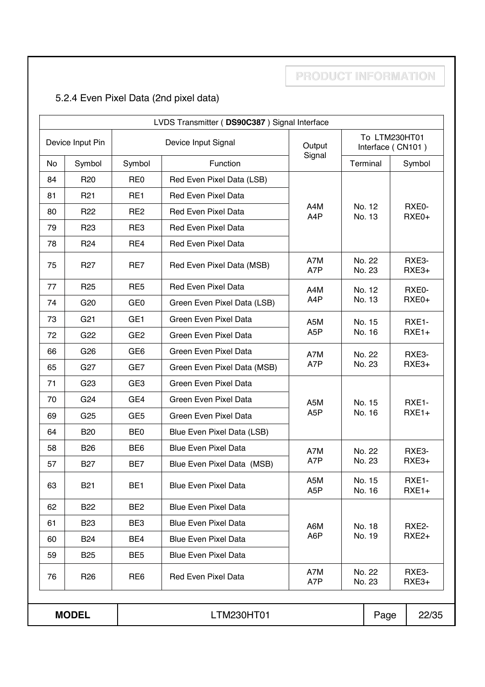## 5.2.4 Even Pixel Data (2nd pixel data)

| LVDS Transmitter (DS90C387) Signal Interface |                  |                 |                             |                         |                  |                                    |                   |
|----------------------------------------------|------------------|-----------------|-----------------------------|-------------------------|------------------|------------------------------------|-------------------|
|                                              | Device Input Pin |                 | Device Input Signal         | Output                  |                  | To LTM230HT01<br>Interface (CN101) |                   |
| No                                           | Symbol           | Symbol          | Function                    | Signal                  | Terminal         |                                    | Symbol            |
| 84                                           | R <sub>20</sub>  | RE <sub>0</sub> | Red Even Pixel Data (LSB)   |                         |                  |                                    |                   |
| 81                                           | R <sub>21</sub>  | RE1             | <b>Red Even Pixel Data</b>  |                         |                  |                                    |                   |
| 80                                           | R <sub>22</sub>  | RE <sub>2</sub> | <b>Red Even Pixel Data</b>  | A4M<br>A4P              | No. 12<br>No. 13 |                                    | RXE0-<br>RXE0+    |
| 79                                           | R <sub>23</sub>  | RE3             | <b>Red Even Pixel Data</b>  |                         |                  |                                    |                   |
| 78                                           | R <sub>24</sub>  | RE4             | Red Even Pixel Data         |                         |                  |                                    |                   |
| 75                                           | R <sub>27</sub>  | RE7             | Red Even Pixel Data (MSB)   | A7M<br>A7P              | No. 22<br>No. 23 |                                    | RXE3-<br>$RXE3+$  |
| 77                                           | R <sub>25</sub>  | RE <sub>5</sub> | <b>Red Even Pixel Data</b>  | A4M                     | No. 12           |                                    | RXE0-             |
| 74                                           | G <sub>20</sub>  | GE <sub>0</sub> | Green Even Pixel Data (LSB) | A4P                     | No. 13           |                                    | RXE0+             |
| 73                                           | G <sub>21</sub>  | GE <sub>1</sub> | Green Even Pixel Data       | A5M                     | No. 15           |                                    | RXE1-             |
| 72                                           | G <sub>22</sub>  | GE <sub>2</sub> | Green Even Pixel Data       | A <sub>5</sub> P        | No. 16           |                                    | $RXE1+$           |
| 66                                           | G <sub>26</sub>  | GE <sub>6</sub> | Green Even Pixel Data       | A7M                     | No. 22           |                                    | RXE3-             |
| 65                                           | G <sub>27</sub>  | GE7             | Green Even Pixel Data (MSB) | A7P                     | No. 23           |                                    | $RXE3+$           |
| 71                                           | G <sub>23</sub>  | GE3             | Green Even Pixel Data       |                         | No. 15<br>No. 16 |                                    |                   |
| 70                                           | G <sub>24</sub>  | GE4             | Green Even Pixel Data       | A5M                     |                  |                                    | RXE1-             |
| 69                                           | G <sub>25</sub>  | GE <sub>5</sub> | Green Even Pixel Data       | A <sub>5</sub> P        |                  |                                    | $RXE1+$           |
| 64                                           | <b>B20</b>       | BE <sub>0</sub> | Blue Even Pixel Data (LSB)  |                         |                  |                                    |                   |
| 58                                           | <b>B26</b>       | BE <sub>6</sub> | <b>Blue Even Pixel Data</b> | A7M                     | No. 22           |                                    | RXE3-             |
| 57                                           | <b>B27</b>       | BE7             | Blue Even Pixel Data (MSB)  | A7P                     | No. 23           |                                    | $RXE3+$           |
| 63                                           | <b>B21</b>       | BE <sub>1</sub> | <b>Blue Even Pixel Data</b> | A5M<br>A <sub>5</sub> P | No. 15<br>No. 16 |                                    | RXE1-<br>$RXE1+$  |
| 62                                           | <b>B22</b>       | BE <sub>2</sub> | <b>Blue Even Pixel Data</b> |                         |                  |                                    |                   |
| 61                                           | <b>B23</b>       | BE3             | <b>Blue Even Pixel Data</b> | A6M                     | No. 18           |                                    | RXE2-             |
| 60                                           | <b>B24</b>       | BE4             | <b>Blue Even Pixel Data</b> | A6P                     | No. 19           |                                    | RXE <sub>2+</sub> |
| 59                                           | <b>B25</b>       | BE <sub>5</sub> | <b>Blue Even Pixel Data</b> |                         |                  |                                    |                   |
| 76                                           | R <sub>26</sub>  | RE <sub>6</sub> | Red Even Pixel Data         | A7M<br>A7P              | No. 22<br>No. 23 |                                    | RXE3-<br>RXE3+    |
|                                              |                  |                 |                             |                         |                  |                                    |                   |
| <b>MODEL</b><br>LTM230HT01                   |                  |                 |                             |                         | Page             | 22/35                              |                   |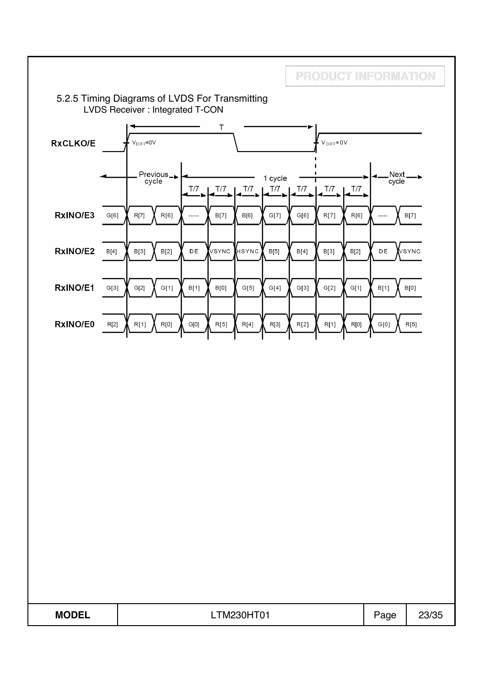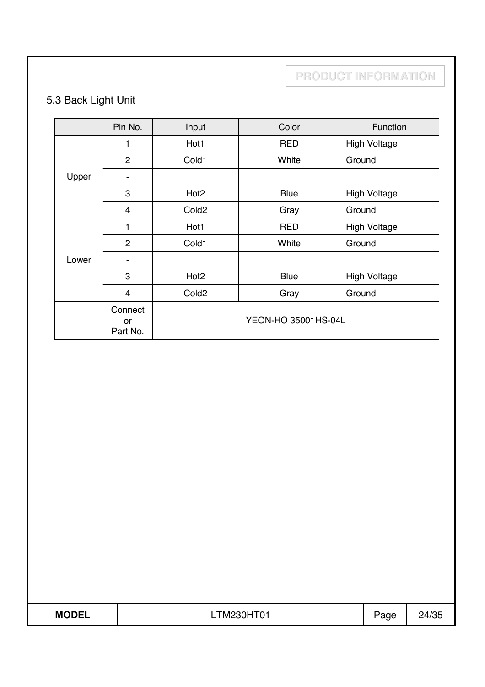# 5.3 Back Light Unit

|       | Pin No.                   | Input                      | Color       | Function            |  |
|-------|---------------------------|----------------------------|-------------|---------------------|--|
|       | 1                         | Hot1                       | <b>RED</b>  | <b>High Voltage</b> |  |
| Upper | $\overline{2}$            | Cold1                      | White       | Ground              |  |
|       | $\overline{\phantom{a}}$  |                            |             |                     |  |
|       | 3                         | Hot <sub>2</sub>           | <b>Blue</b> | <b>High Voltage</b> |  |
|       | 4                         | Cold <sub>2</sub>          | Gray        | Ground              |  |
|       | 1                         | Hot1                       | <b>RED</b>  | <b>High Voltage</b> |  |
|       | $\overline{2}$            | Cold1                      | White       | Ground              |  |
| Lower | ٠                         |                            |             |                     |  |
|       | 3                         | Hot <sub>2</sub>           | <b>Blue</b> | <b>High Voltage</b> |  |
|       | $\overline{4}$            | Cold <sub>2</sub>          | Gray        | Ground              |  |
|       | Connect<br>or<br>Part No. | <b>YEON-HO 35001HS-04L</b> |             |                     |  |

| <b>MODEL</b> | TM230HT01<br>1 I V I<br>טש∟יו<br>- | $\overline{\phantom{a}}$<br>'aqe<br>๋ | 10E<br>24/35 |
|--------------|------------------------------------|---------------------------------------|--------------|
|--------------|------------------------------------|---------------------------------------|--------------|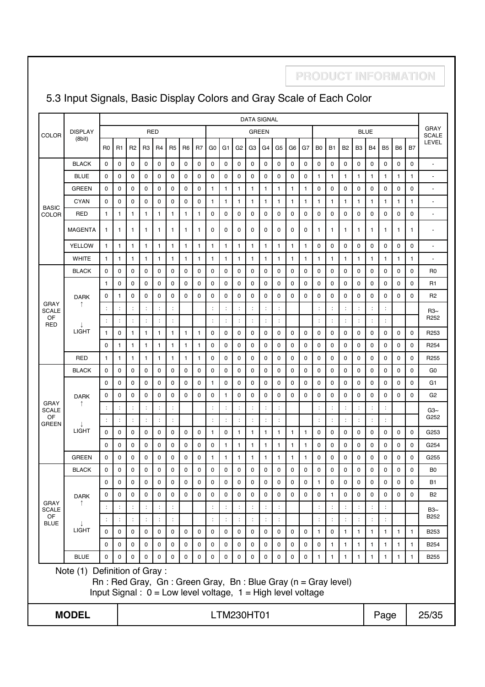## **MODEL** | LTM230HT01 | Page 25/35 BLUE 0 0 0 0 0 0 0 0 0 0 0 0 0 0 0 0 1 1 1 1 1 1 1 1 B255 0 0 0 0 0 0 0 0 0 0 0 0 0 0 0 0 0 1 1 1 1 1 1 1 B254 0 0 0 0 0 0 0 0 0 0 0 0 0 0 0 0 1 0 1 1 1 1 1 1 B253 : : : : : : : : : : : : : : : : : :  $B3\sim$ B252 : : : : : : : : : : : : : : : : : : 0 0 0 0 0 0 0 0 0 0 0 0 0 0 0 0 0 1 0 0 0 0 0 0 B2 0 0 0 0 0 0 0 0 0 0 0 0 0 0 0 0 1 0 0 0 0 0 0 0 B1 DARK  $\uparrow$ ↓ LIGHT BLACK 0 0 0 0 0 0 0 0 0 0 0 0 0 0 0 0 0 0 0 0 0 0 0 0 B0 GRAY SCALE OF BLUE GREEN 0 0 0 0 0 0 0 0 1 1 1 1 1 1 1 1 0 0 0 0 0 0 0 0 G255 0 0 0 0 0 0 0 0 0 1 1 1 1 1 1 1 0 0 0 0 0 0 0 0 G254 0 0 0 0 0 0 0 0 1 0 1 1 1 1 1 1 0 0 0 0 0 0 0 0 G253 : : : : : : : : : : : : : : : : : :  $G3\sim$ G<sub>252</sub> : : : : : : : : : : : : : : : : : : 0 0 0 0 0 0 0 0 0 1 0 0 0 0 0 0 0 0 0 0 0 0 0 0 G2 0 0 0 0 0 0 0 0 1 0 0 0 0 0 0 0 0 0 0 0 0 0 0 0 G1 DARK  $\uparrow$ ↓ LIGHT BLACK 0 0 0 0 0 0 0 0 0 0 0 0 0 0 0 0 0 0 0 0 0 0 0 0 G0 GRAY **SCALE** OF **GREEN** RED 1 1 1 1 1 1 1 1 0 0 0 0 0 0 0 0 0 0 0 0 0 0 0 0 R255 0 1 1 1 1 1 1 1 0 0 0 0 0 0 0 0 0 0 0 0 0 0 0 0 R254 1 0 1 1 1 1 1 1 0 0 0 0 0 0 0 0 0 0 0 0 0 0 0 0 R253 : : : : : : : : : : : : : : : : : :  $R3~$ R252 : : : : : : : : : : : : : : : : : : 0 1 0 0 0 0 0 0 0 0 0 0 0 0 0 0 0 0 0 0 0 0 0 0 R2 1 0 0 0 0 0 0 0 0 0 0 0 0 0 0 0 0 0 0 0 0 0 0 0 R1 DARK  $\uparrow$ ↓ LIGHT BLACK 0 0 0 0 0 0 0 0 0 0 0 0 0 0 0 0 0 0 0 0 0 0 0 0 R0 GRAY SCALE OF RED WHITE 1 1 1 1 1 1 1 1 1 1 1 1 1 1 1 1 1 1 1 1 1 1 1 1 - YELLOW 1 1 1 1 1 1 1 1 1 1 1 1 1 1 1 1 0 0 0 0 0 0 0 0 - MAGENTA 1 1 1 1 1 1 1 1 0 0 0 0 0 0 0 0 1 1 1 1 1 1 1 1 - RED 1 1 1 1 1 1 1 1 0 0 0 0 0 0 0 0 0 0 0 0 0 0 0 0 - CYAN 0 0 0 0 0 0 0 0 1 1 1 1 1 1 1 1 1 1 1 1 1 1 1 1 - GREEN 0 0 0 0 0 0 0 0 1 1 1 1 1 1 1 1 0 0 0 0 0 0 0 0 - BLUE 0 0 0 0 0 0 0 0 0 0 0 0 0 0 0 0 1 1 1 1 1 1 1 1 - BLACK 0 0 0 0 0 0 0 0 0 0 0 0 0 0 0 0 0 0 0 0 0 0 0 0 - **BASIC** COLOR R0 | R1 | R2 | R3 | R4 | R5 | R6 | R7 | G0 | G1 | G2 | G3 | G4 | G5 | G6 | G7 | B0 | B1 | B2 | B3 | B4 | B5 | B6 | B7 RED **GREEN** GREEN BLUE BLUE GRAY **SCALE** LEVEL DATA SIGNAL DISPLAY<br>(8bit) COLOR Note (1) Definition of Gray : Rn : Red Gray, Gn : Green Gray, Bn : Blue Gray (n = Gray level) Input Signal :  $0 =$  Low level voltage,  $1 =$  High level voltage

## 5.3 Input Signals, Basic Display Colors and Gray Scale of Each Color

**PRODUCT INFORMATION**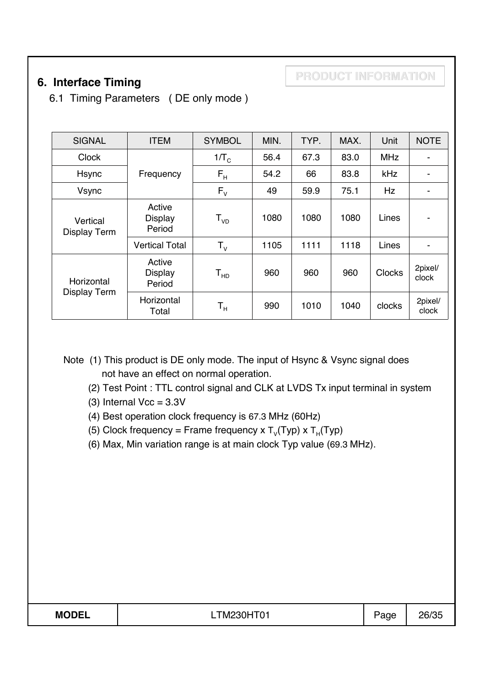## **6. Interface Timing**

6.1 Timing Parameters ( DE only mode )

| <b>SIGNAL</b>                     | <b>ITEM</b>                        | <b>SYMBOL</b>           | MIN. | TYP. | MAX. | Unit          | <b>NOTE</b>              |
|-----------------------------------|------------------------------------|-------------------------|------|------|------|---------------|--------------------------|
| <b>Clock</b>                      |                                    | $1/\text{T}_\text{C}$   | 56.4 | 67.3 | 83.0 | <b>MHz</b>    |                          |
| <b>Hsync</b>                      | Frequency                          | $F_H$                   | 54.2 | 66   | 83.8 | <b>kHz</b>    |                          |
| Vsync                             |                                    | $F_{V}$                 | 49   | 59.9 | 75.1 | <b>Hz</b>     |                          |
| Vertical<br><b>Display Term</b>   | Active<br><b>Display</b><br>Period | $T_{VD}$                | 1080 | 1080 | 1080 | Lines         | $\overline{\phantom{a}}$ |
|                                   | <b>Vertical Total</b>              | $T_{\rm v}$             | 1105 | 1111 | 1118 | Lines         |                          |
| Horizontal<br><b>Display Term</b> | Active<br>Display<br>Period        | ${\sf T}_{\sf HD}$      | 960  | 960  | 960  | <b>Clocks</b> | 2pixel/<br>clock         |
|                                   | Horizontal<br>Total                | $\mathsf{T}_\mathsf{H}$ | 990  | 1010 | 1040 | clocks        | 2pixel/<br>clock         |

Note (1) This product is DE only mode. The input of Hsync & Vsync signal does not have an effect on normal operation.

- (2) Test Point : TTL control signal and CLK at LVDS Tx input terminal in system
- $(3)$  Internal Vcc = 3.3V
- (4) Best operation clock frequency is 67.3 MHz (60Hz)
- (5) Clock frequency = Frame frequency x  $T_v(Typ)$  x  $T_H(Typ)$
- (6) Max, Min variation range is at main clock Typ value (69.3 MHz).

| <b>MODEI</b> | 'NЛ.<br>- | ~ |  |
|--------------|-----------|---|--|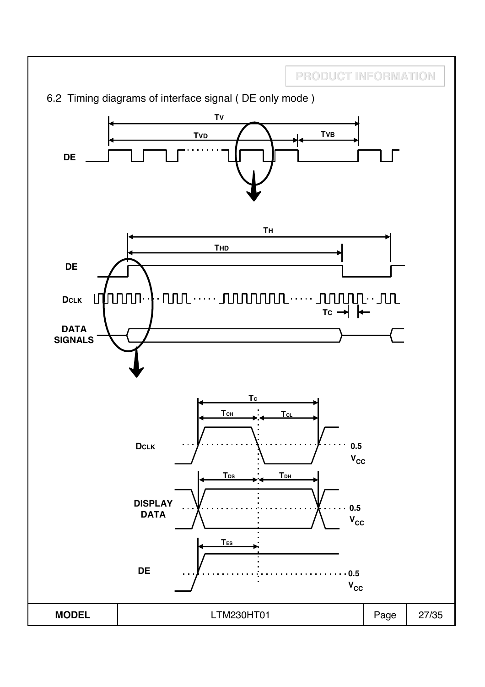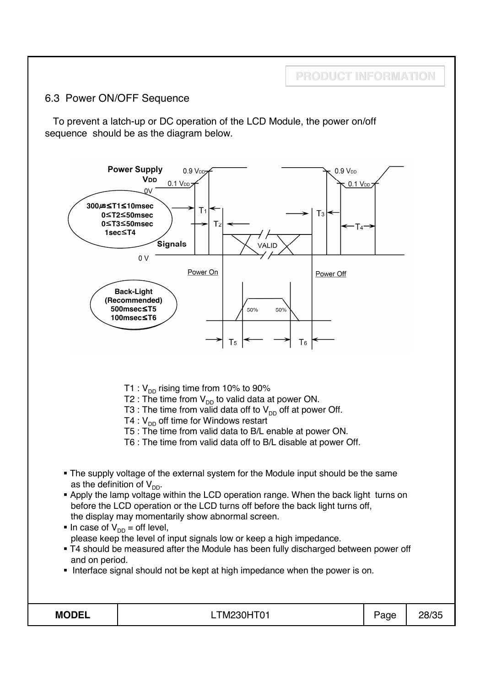## 6.3 Power ON/OFF Sequence

To prevent a latch-up or DC operation of the LCD Module, the power on/off sequence should be as the diagram below.

**PRODUCT INFORMATION**

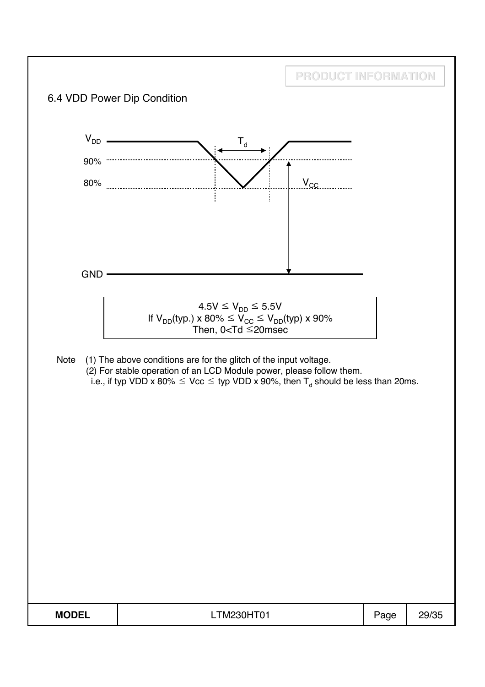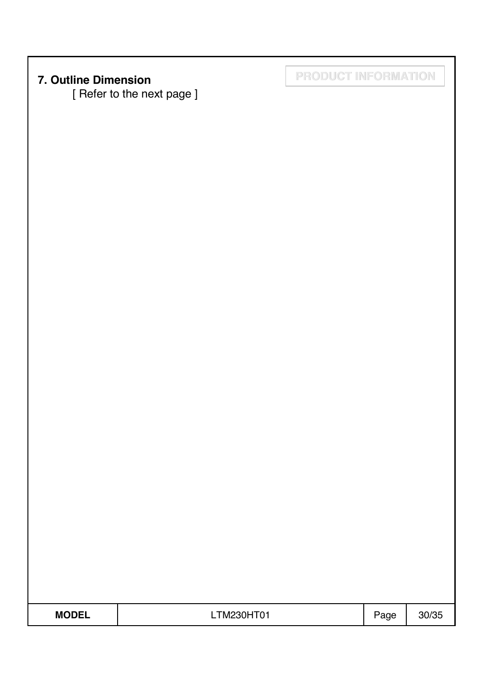[ Refer to the next page ]

**7. Outline Dimension PRODUCT INFORMATION**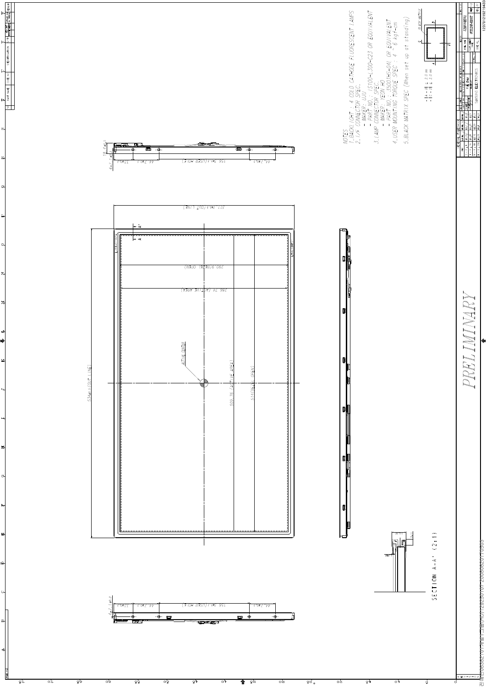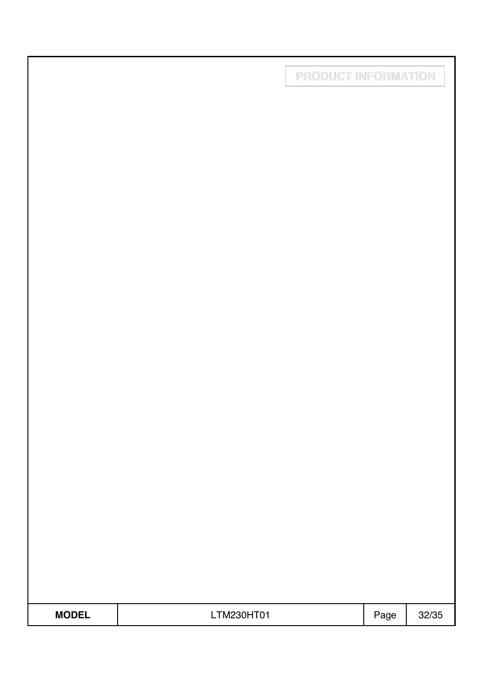| <b>MODEL</b> | LTM230HT01 | Page | 32/35 |
|--------------|------------|------|-------|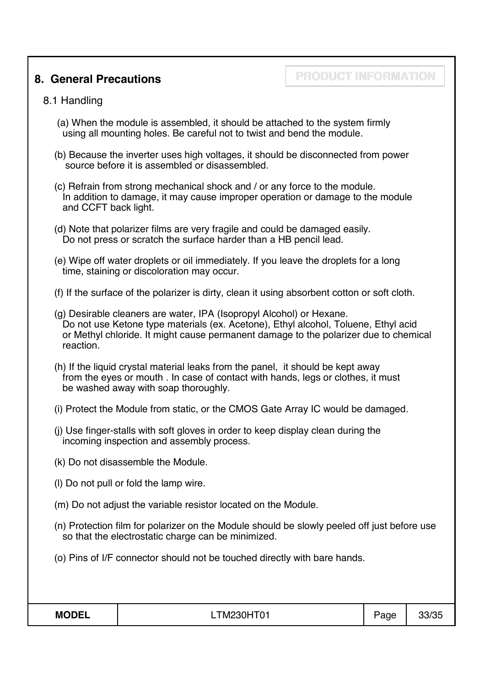## **8. General Precautions**

# **PRODUCT INFORMATION**

## 8.1 Handling

- (a) When the module is assembled, it should be attached to the system firmly using all mounting holes. Be careful not to twist and bend the module.
- (b) Because the inverter uses high voltages, it should be disconnected from power source before it is assembled or disassembled.
- (c) Refrain from strong mechanical shock and / or any force to the module. In addition to damage, it may cause improper operation or damage to the module and CCFT back light.
- (d) Note that polarizer films are very fragile and could be damaged easily. Do not press or scratch the surface harder than a HB pencil lead.
- (e) Wipe off water droplets or oil immediately. If you leave the droplets for a long time, staining or discoloration may occur.
- (f) If the surface of the polarizer is dirty, clean it using absorbent cotton or soft cloth.
- (g) Desirable cleaners are water, IPA (Isopropyl Alcohol) or Hexane. Do not use Ketone type materials (ex. Acetone), Ethyl alcohol, Toluene, Ethyl acid or Methyl chloride. It might cause permanent damage to the polarizer due to chemical reaction.
- (h) If the liquid crystal material leaks from the panel, it should be kept away from the eyes or mouth . In case of contact with hands, legs or clothes, it must be washed away with soap thoroughly.
- (i) Protect the Module from static, or the CMOS Gate Array IC would be damaged.
- (j) Use finger-stalls with soft gloves in order to keep display clean during the incoming inspection and assembly process.
- (k) Do not disassemble the Module.
- (l) Do not pull or fold the lamp wire.
- (m) Do not adjust the variable resistor located on the Module.
- (n) Protection film for polarizer on the Module should be slowly peeled off just before use so that the electrostatic charge can be minimized.
- (o) Pins of I/F connector should not be touched directly with bare hands.

| <b>MODEL</b><br>MC | NЛ<br>$\cdot$ | $-$<br>אר<br>. . |  |
|--------------------|---------------|------------------|--|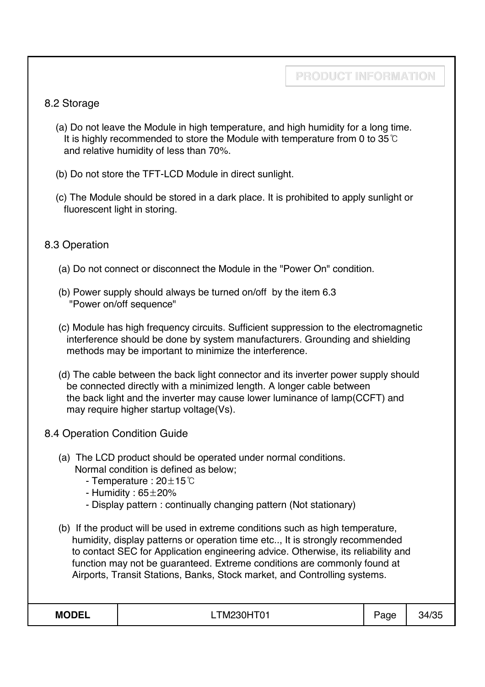## 8.2 Storage

- (a) Do not leave the Module in high temperature, and high humidity for a long time. It is highly recommended to store the Module with temperature from 0 to  $35^{\circ}$ C and relative humidity of less than 70%.
- (b) Do not store the TFT-LCD Module in direct sunlight.
- (c) The Module should be stored in a dark place. It is prohibited to apply sunlight or fluorescent light in storing.

## 8.3 Operation

- (a) Do not connect or disconnect the Module in the "Power On" condition.
- (b) Power supply should always be turned on/off by the item 6.3 "Power on/off sequence"
- (c) Module has high frequency circuits. Sufficient suppression to the electromagnetic interference should be done by system manufacturers. Grounding and shielding methods may be important to minimize the interference.
- (d) The cable between the back light connector and its inverter power supply should be connected directly with a minimized length. A longer cable between the back light and the inverter may cause lower luminance of lamp(CCFT) and may require higher startup voltage(Vs).
- 8.4 Operation Condition Guide
	- (a) The LCD product should be operated under normal conditions. Normal condition is defined as below;
		- Temperature :  $20 \pm 15^{\circ}$ C
		- Humidity :  $65\pm20\%$
		- Display pattern : continually changing pattern (Not stationary)
	- (b) If the product will be used in extreme conditions such as high temperature, humidity, display patterns or operation time etc.., It is strongly recommended to contact SEC for Application engineering advice. Otherwise, its reliability and function may not be guaranteed. Extreme conditions are commonly found at Airports, Transit Stations, Banks, Stock market, and Controlling systems.

| <b>MODEL</b><br>$\sim$ | TM230HT01 | $\blacksquare$<br>age<br>. .<br>- | 34/3 <sup>r</sup><br>-טע |
|------------------------|-----------|-----------------------------------|--------------------------|
|------------------------|-----------|-----------------------------------|--------------------------|